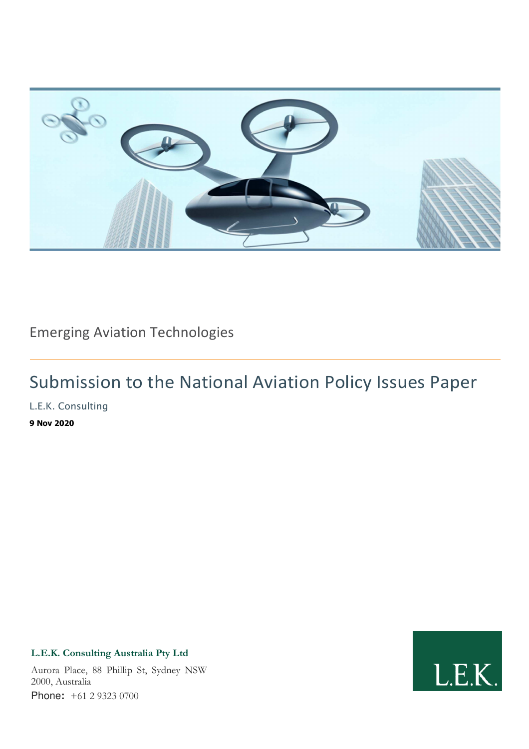

Emerging Aviation Technologies

# Submission to the National Aviation Policy Issues Paper

L.E.K. Consulting

**9 Nov 2020** 

### **L.E.K. Consulting Australia Pty Ltd**

Aurora Place, 88 Phillip St, Sydney NSW 2000, Australia Phone**:** +61 2 9323 0700

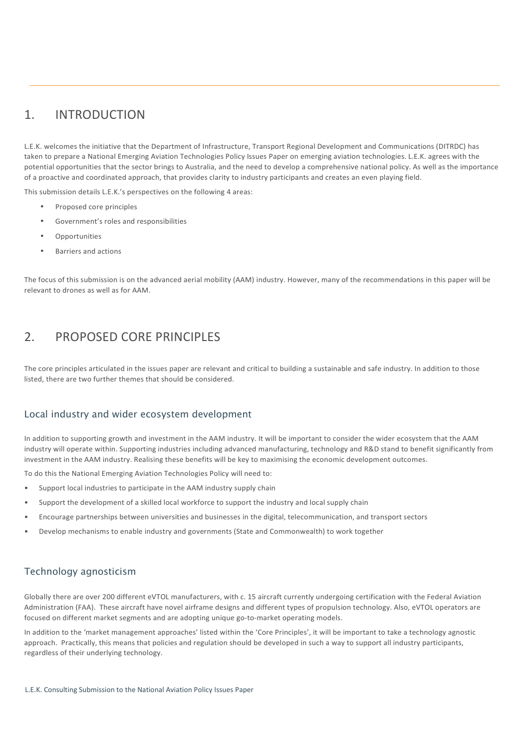## 1. INTRODUCTION

L.E.K. welcomes the initiative that the Department of Infrastructure, Transport Regional Development and Communications (DITRDC) has taken to prepare a National Emerging Aviation Technologies Policy Issues Paper on emerging aviation technologies. L.E.K. agrees with the potential opportunities that the sector brings to Australia, and the need to develop a comprehensive national policy. As well as the importance of a proactive and coordinated approach, that provides clarity to industry participants and creates an even playing field.

This submission details L.E.K.'s perspectives on the following 4 areas:

- Proposed core principles
- Government's roles and responsibilities
- Opportunities
- Barriers and actions

The focus of this submission is on the advanced aerial mobility (AAM) industry. However, many of the recommendations in this paper will be relevant to drones as well as for AAM.

### 2. PROPOSED CORE PRINCIPLES

The core principles articulated in the issues paper are relevant and critical to building a sustainable and safe industry. In addition to those listed, there are two further themes that should be considered.

#### Local industry and wider ecosystem development

In addition to supporting growth and investment in the AAM industry. It will be important to consider the wider ecosystem that the AAM industry will operate within. Supporting industries including advanced manufacturing, technology and R&D stand to benefit significantly from investment in the AAM industry. Realising these benefits will be key to maximising the economic development outcomes.

To do this the National Emerging Aviation Technologies Policy will need to:

- Support local industries to participate in the AAM industry supply chain
- Support the development of a skilled local workforce to support the industry and local supply chain
- Encourage partnerships between universities and businesses in the digital, telecommunication, and transport sectors
- Develop mechanisms to enable industry and governments (State and Commonwealth) to work together

#### Technology agnosticism

Globally there are over 200 different eVTOL manufacturers, with c. 15 aircraft currently undergoing certification with the Federal Aviation Administration (FAA). These aircraft have novel airframe designs and different types of propulsion technology. Also, eVTOL operators are focused on different market segments and are adopting unique go-to-market operating models.

In addition to the 'market management approaches' listed within the 'Core Principles', it will be important to take a technology agnostic approach. Practically, this means that policies and regulation should be developed in such a way to support all industry participants, regardless of their underlying technology.

L.E.K. Consulting Submission to the National Aviation Policy Issues Paper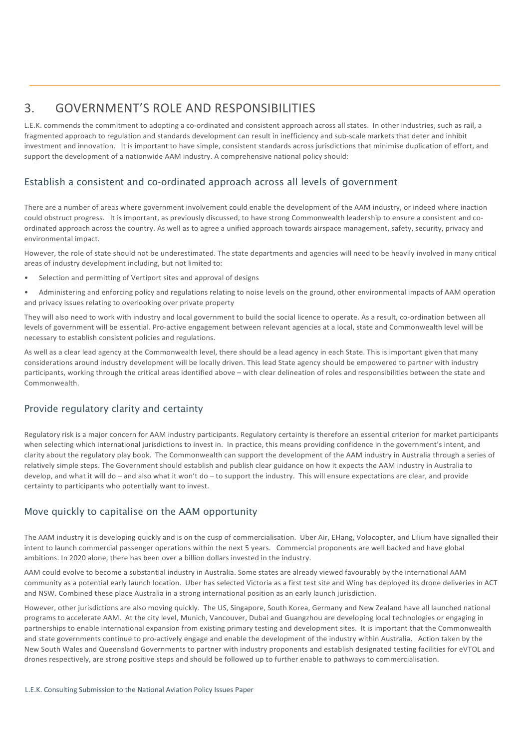### 3. GOVERNMENT'S ROLE AND RESPONSIBILITIES

L.E.K. commends the commitment to adopting a co-ordinated and consistent approach across all states. In other industries, such as rail, a fragmented approach to regulation and standards development can result in inefficiency and sub-scale markets that deter and inhibit investment and innovation. It is important to have simple, consistent standards across jurisdictions that minimise duplication of effort, and support the development of a nationwide AAM industry. A comprehensive national policy should:

### Establish a consistent and co-ordinated approach across all levels of government

There are a number of areas where government involvement could enable the development of the AAM industry, or indeed where inaction could obstruct progress. It is important, as previously discussed, to have strong Commonwealth leadership to ensure a consistent and coordinated approach across the country. As well as to agree a unified approach towards airspace management, safety, security, privacy and environmental impact.

However, the role of state should not be underestimated. The state departments and agencies will need to be heavily involved in many critical areas of industry development including, but not limited to:

• Selection and permitting of Vertiport sites and approval of designs

• Administering and enforcing policy and regulations relating to noise levels on the ground, other environmental impacts of AAM operation and privacy issues relating to overlooking over private property

They will also need to work with industry and local government to build the social licence to operate. As a result, co-ordination between all levels of government will be essential. Pro-active engagement between relevant agencies at a local, state and Commonwealth level will be necessary to establish consistent policies and regulations.

As well as a clear lead agency at the Commonwealth level, there should be a lead agency in each State. This is important given that many considerations around industry development will be locally driven. This lead State agency should be empowered to partner with industry participants, working through the critical areas identified above – with clear delineation of roles and responsibilities between the state and Commonwealth.

#### Provide regulatory clarity and certainty

Regulatory risk is a major concern for AAM industry participants. Regulatory certainty is therefore an essential criterion for market participants when selecting which international jurisdictions to invest in. In practice, this means providing confidence in the government's intent, and clarity about the regulatory play book. The Commonwealth can support the development of the AAM industry in Australia through a series of relatively simple steps. The Government should establish and publish clear guidance on how it expects the AAM industry in Australia to develop, and what it will do – and also what it won't do – to support the industry. This will ensure expectations are clear, and provide certainty to participants who potentially want to invest.

#### Move quickly to capitalise on the AAM opportunity

The AAM industry it is developing quickly and is on the cusp of commercialisation. Uber Air, EHang, Volocopter, and Lilium have signalled their intent to launch commercial passenger operations within the next 5 years. Commercial proponents are well backed and have global ambitions. In 2020 alone, there has been over a billion dollars invested in the industry.

AAM could evolve to become a substantial industry in Australia. Some states are already viewed favourably by the international AAM community as a potential early launch location. Uber has selected Victoria as a first test site and Wing has deployed its drone deliveries in ACT and NSW. Combined these place Australia in a strong international position as an early launch jurisdiction.

However, other jurisdictions are also moving quickly. The US, Singapore, South Korea, Germany and New Zealand have all launched national programs to accelerate AAM. At the city level, Munich, Vancouver, Dubai and Guangzhou are developing local technologies or engaging in partnerships to enable international expansion from existing primary testing and development sites. It is important that the Commonwealth and state governments continue to pro-actively engage and enable the development of the industry within Australia. Action taken by the New South Wales and Queensland Governments to partner with industry proponents and establish designated testing facilities for eVTOL and drones respectively, are strong positive steps and should be followed up to further enable to pathways to commercialisation.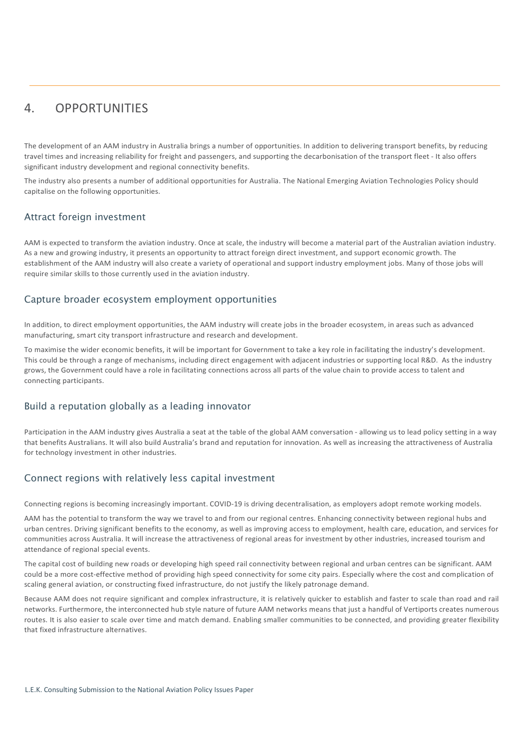### 4. OPPORTUNITIES

The development of an AAM industry in Australia brings a number of opportunities. In addition to delivering transport benefits, by reducing travel times and increasing reliability for freight and passengers, and supporting the decarbonisation of the transport fleet - It also offers significant industry development and regional connectivity benefits.

The industry also presents a number of additional opportunities for Australia. The National Emerging Aviation Technologies Policy should capitalise on the following opportunities.

#### Attract foreign investment

AAM is expected to transform the aviation industry. Once at scale, the industry will become a material part of the Australian aviation industry. As a new and growing industry, it presents an opportunity to attract foreign direct investment, and support economic growth. The establishment of the AAM industry will also create a variety of operational and support industry employment jobs. Many of those jobs will require similar skills to those currently used in the aviation industry.

#### Capture broader ecosystem employment opportunities

In addition, to direct employment opportunities, the AAM industry will create jobs in the broader ecosystem, in areas such as advanced manufacturing, smart city transport infrastructure and research and development.

To maximise the wider economic benefits, it will be important for Government to take a key role in facilitating the industry's development. This could be through a range of mechanisms, including direct engagement with adjacent industries or supporting local R&D. As the industry grows, the Government could have a role in facilitating connections across all parts of the value chain to provide access to talent and connecting participants.

#### Build a reputation globally as a leading innovator

Participation in the AAM industry gives Australia a seat at the table of the global AAM conversation - allowing us to lead policy setting in a way that benefits Australians. It will also build Australia's brand and reputation for innovation. As well as increasing the attractiveness of Australia for technology investment in other industries.

#### Connect regions with relatively less capital investment

Connecting regions is becoming increasingly important. COVID-19 is driving decentralisation, as employers adopt remote working models.

AAM has the potential to transform the way we travel to and from our regional centres. Enhancing connectivity between regional hubs and urban centres. Driving significant benefits to the economy, as well as improving access to employment, health care, education, and services for communities across Australia. It will increase the attractiveness of regional areas for investment by other industries, increased tourism and attendance of regional special events.

The capital cost of building new roads or developing high speed rail connectivity between regional and urban centres can be significant. AAM could be a more cost-effective method of providing high speed connectivity for some city pairs. Especially where the cost and complication of scaling general aviation, or constructing fixed infrastructure, do not justify the likely patronage demand.

Because AAM does not require significant and complex infrastructure, it is relatively quicker to establish and faster to scale than road and rail networks. Furthermore, the interconnected hub style nature of future AAM networks means that just a handful of Vertiports creates numerous routes. It is also easier to scale over time and match demand. Enabling smaller communities to be connected, and providing greater flexibility that fixed infrastructure alternatives.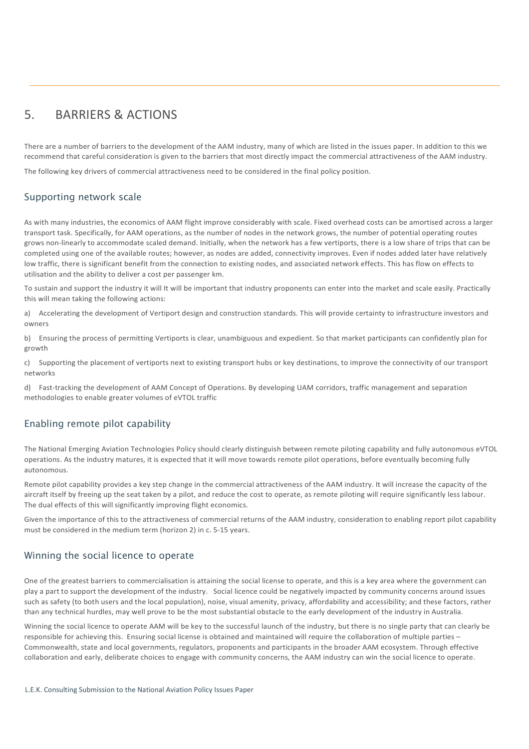### 5. BARRIERS & ACTIONS

There are a number of barriers to the development of the AAM industry, many of which are listed in the issues paper. In addition to this we recommend that careful consideration is given to the barriers that most directly impact the commercial attractiveness of the AAM industry.

The following key drivers of commercial attractiveness need to be considered in the final policy position.

#### Supporting network scale

As with many industries, the economics of AAM flight improve considerably with scale. Fixed overhead costs can be amortised across a larger transport task. Specifically, for AAM operations, as the number of nodes in the network grows, the number of potential operating routes grows non-linearly to accommodate scaled demand. Initially, when the network has a few vertiports, there is a low share of trips that can be completed using one of the available routes; however, as nodes are added, connectivity improves. Even if nodes added later have relatively low traffic, there is significant benefit from the connection to existing nodes, and associated network effects. This has flow on effects to utilisation and the ability to deliver a cost per passenger km.

To sustain and support the industry it will It will be important that industry proponents can enter into the market and scale easily. Practically this will mean taking the following actions:

a) Accelerating the development of Vertiport design and construction standards. This will provide certainty to infrastructure investors and owners

b) Ensuring the process of permitting Vertiports is clear, unambiguous and expedient. So that market participants can confidently plan for growth

c) Supporting the placement of vertiports next to existing transport hubs or key destinations, to improve the connectivity of our transport networks

d) Fast-tracking the development of AAM Concept of Operations. By developing UAM corridors, traffic management and separation methodologies to enable greater volumes of eVTOL traffic

#### Enabling remote pilot capability

The National Emerging Aviation Technologies Policy should clearly distinguish between remote piloting capability and fully autonomous eVTOL operations. As the industry matures, it is expected that it will move towards remote pilot operations, before eventually becoming fully autonomous.

Remote pilot capability provides a key step change in the commercial attractiveness of the AAM industry. It will increase the capacity of the aircraft itself by freeing up the seat taken by a pilot, and reduce the cost to operate, as remote piloting will require significantly less labour. The dual effects of this will significantly improving flight economics.

Given the importance of this to the attractiveness of commercial returns of the AAM industry, consideration to enabling report pilot capability must be considered in the medium term (horizon 2) in c. 5-15 years.

#### Winning the social licence to operate

One of the greatest barriers to commercialisation is attaining the social license to operate, and this is a key area where the government can play a part to support the development of the industry. Social licence could be negatively impacted by community concerns around issues such as safety (to both users and the local population), noise, visual amenity, privacy, affordability and accessibility; and these factors, rather than any technical hurdles, may well prove to be the most substantial obstacle to the early development of the industry in Australia.

Winning the social licence to operate AAM will be key to the successful launch of the industry, but there is no single party that can clearly be responsible for achieving this. Ensuring social license is obtained and maintained will require the collaboration of multiple parties – Commonwealth, state and local governments, regulators, proponents and participants in the broader AAM ecosystem. Through effective collaboration and early, deliberate choices to engage with community concerns, the AAM industry can win the social licence to operate.